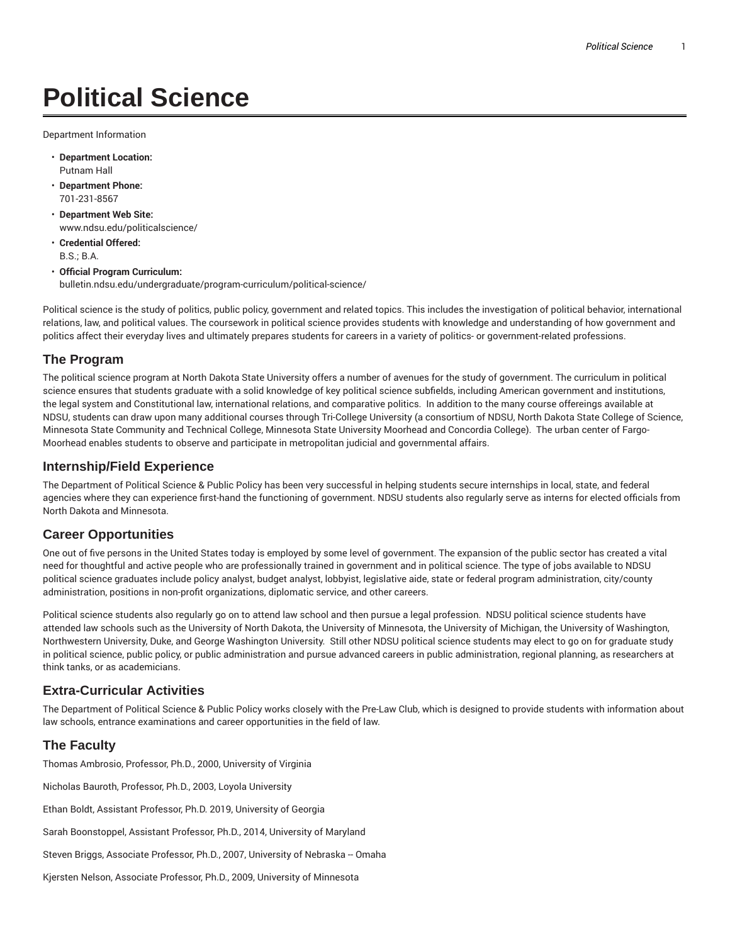# **Political Science**

Department Information

- **Department Location:** Putnam Hall
- **Department Phone:** 701-231-8567
- **Department Web Site:** www.ndsu.edu/politicalscience/
- **Credential Offered:** B.S.; B.A.
- **Official Program Curriculum:** bulletin.ndsu.edu/undergraduate/program-curriculum/political-science/

Political science is the study of politics, public policy, government and related topics. This includes the investigation of political behavior, international relations, law, and political values. The coursework in political science provides students with knowledge and understanding of how government and politics affect their everyday lives and ultimately prepares students for careers in a variety of politics- or government-related professions.

### **The Program**

The political science program at North Dakota State University offers a number of avenues for the study of government. The curriculum in political science ensures that students graduate with a solid knowledge of key political science subfields, including American government and institutions, the legal system and Constitutional law, international relations, and comparative politics. In addition to the many course offereings available at NDSU, students can draw upon many additional courses through Tri-College University (a consortium of NDSU, North Dakota State College of Science, Minnesota State Community and Technical College, Minnesota State University Moorhead and Concordia College). The urban center of Fargo-Moorhead enables students to observe and participate in metropolitan judicial and governmental affairs.

#### **Internship/Field Experience**

The Department of Political Science & Public Policy has been very successful in helping students secure internships in local, state, and federal agencies where they can experience first-hand the functioning of government. NDSU students also regularly serve as interns for elected officials from North Dakota and Minnesota.

# **Career Opportunities**

One out of five persons in the United States today is employed by some level of government. The expansion of the public sector has created a vital need for thoughtful and active people who are professionally trained in government and in political science. The type of jobs available to NDSU political science graduates include policy analyst, budget analyst, lobbyist, legislative aide, state or federal program administration, city/county administration, positions in non-profit organizations, diplomatic service, and other careers.

Political science students also regularly go on to attend law school and then pursue a legal profession. NDSU political science students have attended law schools such as the University of North Dakota, the University of Minnesota, the University of Michigan, the University of Washington, Northwestern University, Duke, and George Washington University. Still other NDSU political science students may elect to go on for graduate study in political science, public policy, or public administration and pursue advanced careers in public administration, regional planning, as researchers at think tanks, or as academicians.

# **Extra-Curricular Activities**

The Department of Political Science & Public Policy works closely with the Pre-Law Club, which is designed to provide students with information about law schools, entrance examinations and career opportunities in the field of law.

#### **The Faculty**

Thomas Ambrosio, Professor, Ph.D., 2000, University of Virginia

Nicholas Bauroth, Professor, Ph.D., 2003, Loyola University

Ethan Boldt, Assistant Professor, Ph.D. 2019, University of Georgia

Sarah Boonstoppel, Assistant Professor, Ph.D., 2014, University of Maryland

Steven Briggs, Associate Professor, Ph.D., 2007, University of Nebraska -- Omaha

Kjersten Nelson, Associate Professor, Ph.D., 2009, University of Minnesota